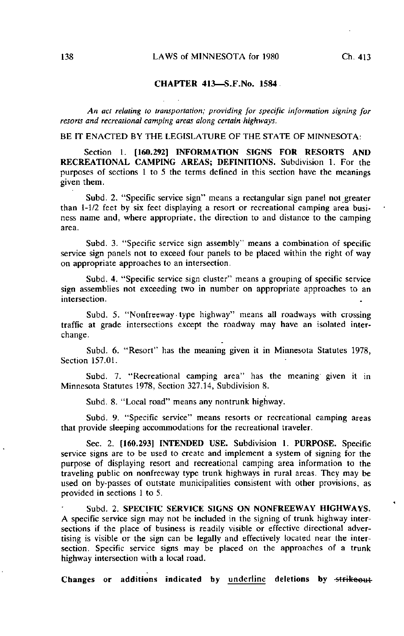## CHAPTER 413—S.F.No. 1584

An act relating to transportation; providing for specific information signing for resorts and recreational camping areas along certain highways.

BE IT ENACTED BY THE LEGISLATURE OF THE STATE OF MINNESOTA:

Section 1. [160.292] INFORMATION SIGNS FOR RESORTS AND RECREATIONAL CAMPING AREAS; DEFINITIONS. Subdivision 1. For the purposes of sections 1 to 5 the terms defined in this section have the meanings given them.

Subd. 2. "Specific service sign" means a rectangular sign panel not greater than 1-1/2 feet by six feet displaying a resort or recreational camping area business name and, where appropriate, the direction to and distance to the camping area.

Subd. 3. "Specific service sign assembly" means a combination of specific service sign panels not to exceed four panels to be placed within the right of way on appropriate approaches to an intersection.

Subd. 4. "Specific service sign cluster" means a grouping of specific service sign assemblies not exceeding two in number on appropriate approaches to an intersection.

Subd. 5. "Nonfreeway type highway" means all roadways with crossing traffic at grade intersections except the roadway may have an isolated interchange.

Subd. 6. "Resort" has the meaning given it in Minnesota Statutes 1978, Section 157.01.

Subd. 7. "Recreational camping area" has the meaning' given it in Minnesota Statutes 1978, Section 327.14, Subdivision 8.

Subd. 8. "Local road" means any nontrunk highway.

Subd. 9. "Specific service" means resorts or recreational camping areas that provide sleeping accommodations for the recreational traveler.

Sec. 2. [160.293] INTENDED USE. Subdivision 1. PURPOSE. Specific service signs are to be used to create and implement a system of signing for the purpose of displaying resort and recreational camping area information to the traveling public on nonfreeway type trunk highways in rural areas. They may be used on by-passes of outstate municipalities consistent with other provisions, as provided in sections I to 5.

Subd. 2. SPECIFIC SERVICE SIGNS ON NONFREEWAY HIGHWAYS. A specific service sign may not be included in the signing of trunk highway intersections if the place of business is readily visible or effective directional advertising is visible or the sign can be legally and effectively located near the intersection. Specific service signs may be placed on the approaches of a trunk highway intersection with a local road.

Changes or additions indicated by underline deletions by strikeout-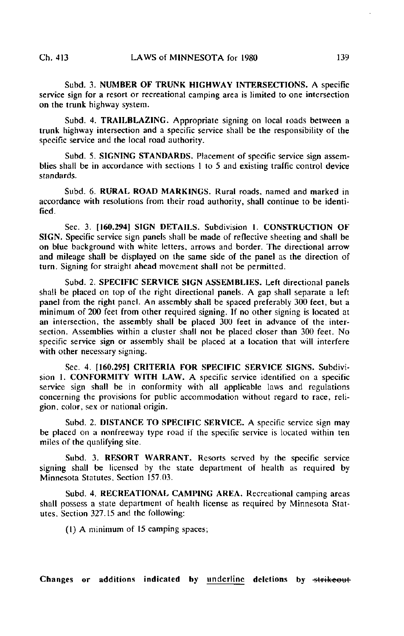Subd. 3. NUMBER OF TRUNK HIGHWAY INTERSECTIONS. A specific service sign for a resort or recreational camping area is limited to one intersection on the trunk highway system.

Subd. 4. TRAILBLAZ1NG. Appropriate signing on local roads between a trunk highway intersection and a specific service shall be the responsibility of the specific service and the local road authority.

Subd. 5. SIGNING STANDARDS. Placement of specific service sign assemblies shall be in accordance with sections 1 to 5 and existing traffic control device standards.

Subd. 6. RURAL ROAD MARKINGS. Rural roads, named and marked in accordance with resolutions from their road authority, shall continue to be identified.

Sec. 3. [160.294] SIGN DETAILS. Subdivision 1. CONSTRUCTION OF SIGN. Specific service sign panels shall be made of reflective sheeting and shall be on blue background with white letters, arrows and border. The directional arrow and mileage shall be displayed on the same side of the panel as the direction of turn. Signing for straight ahead movement shall not be permitted.

Subd. 2. SPECIFIC SERVICE SIGN ASSEMBLIES. Left directional panels shall be placed on top of the right directional panels. A gap shall separate a left panel from the right panel. An assembly shall be spaced preferably 300 feet, but a minimum of 200 feet from other required signing. If no other signing is located at an intersection, the assembly shall be placed 300 feet in advance of the intersection. Assemblies within a cluster shall not be placed closer than 300 feet. No specific service sign or assembly shall be placed at a location that will interfere with other necessary signing.

Sec. 4. [160.2951 CRITERIA FOR SPECIFIC SERVICE SIGNS. Subdivision 1. CONFORMITY WITH LAW. A specific service identified on a specific service sign shall be in conformity with all applicable laws and regulations concerning the provisions for public accommodation without regard to race, religion, color, sex or national origin.

Subd. 2. DISTANCE TO SPECIFIC SERVICE. A specific service sign may be placed on a nonfreeway type road if the specific service is located within ten miles of the qualifying site.

Subd. 3. RESORT WARRANT. Resorts served by the specific service signing shall be licensed by the state department of health as required by Minnesota Statutes, Section 157.03.

Subd. 4. RECREATIONAL CAMPING AREA. Recreational camping areas shall possess a state department of health license as required by Minnesota Statutes. Section 327.15 and the following:

(1) A minimum of 15 camping spaces;